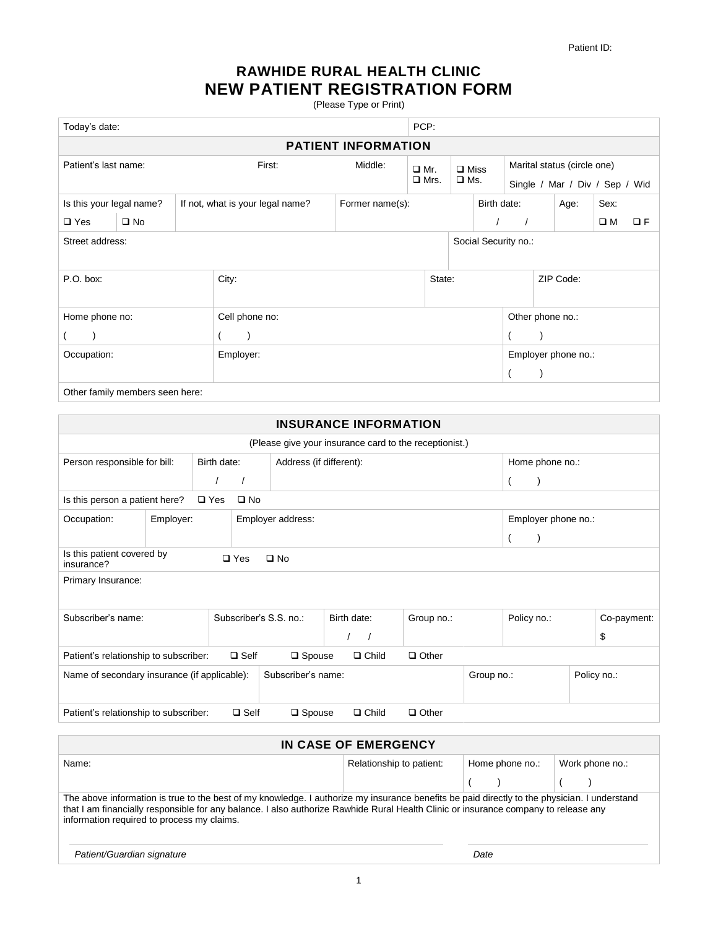## **RAWHIDE RURAL HEALTH CLINIC NEW PATIENT REGISTRATION FORM**

(Please Type or Print)

| Today's date:                   |                            |                      |                                                     |            |             | PCP:           |               |                             |                                |           |                  |      |  |
|---------------------------------|----------------------------|----------------------|-----------------------------------------------------|------------|-------------|----------------|---------------|-----------------------------|--------------------------------|-----------|------------------|------|--|
|                                 | <b>PATIENT INFORMATION</b> |                      |                                                     |            |             |                |               |                             |                                |           |                  |      |  |
| Patient's last name:            |                            | First:               | Middle:                                             | $\Box$ Mr. |             | $\square$ Miss |               | Marital status (circle one) |                                |           |                  |      |  |
|                                 |                            |                      |                                                     |            | $\Box$ Mrs. |                | $\square$ Ms. |                             | Single / Mar / Div / Sep / Wid |           |                  |      |  |
| Is this your legal name?        |                            |                      | If not, what is your legal name?<br>Former name(s): |            |             |                | Birth date:   |                             |                                |           | Age:             | Sex: |  |
| $\square$ Yes                   | $\square$ No               |                      |                                                     |            |             |                |               |                             | $\square$ M                    | $\Box F$  |                  |      |  |
| Street address:                 |                            | Social Security no.: |                                                     |            |             |                |               |                             |                                |           |                  |      |  |
|                                 |                            |                      |                                                     |            |             |                |               |                             |                                |           |                  |      |  |
| P.O. box:                       |                            |                      | City:                                               |            |             | State:         |               |                             |                                | ZIP Code: |                  |      |  |
|                                 |                            |                      |                                                     |            |             |                |               |                             |                                |           |                  |      |  |
| Home phone no:                  |                            |                      | Cell phone no:                                      |            |             |                |               |                             |                                |           | Other phone no.: |      |  |
|                                 |                            |                      |                                                     |            |             |                |               |                             |                                |           |                  |      |  |
| Occupation:<br>Employer:        |                            |                      |                                                     |            |             |                |               | Employer phone no.:         |                                |           |                  |      |  |
|                                 |                            |                      |                                                     |            |             |                |               |                             |                                |           |                  |      |  |
| Other family members seen here: |                            |                      |                                                     |            |             |                |               |                             |                                |           |                  |      |  |

| <b>INSURANCE INFORMATION</b>                                                                             |           |               |                        |                         |                                  |            |  |                     |  |             |  |
|----------------------------------------------------------------------------------------------------------|-----------|---------------|------------------------|-------------------------|----------------------------------|------------|--|---------------------|--|-------------|--|
| (Please give your insurance card to the receptionist.)                                                   |           |               |                        |                         |                                  |            |  |                     |  |             |  |
| Person responsible for bill:                                                                             |           | Birth date:   |                        | Address (if different): |                                  |            |  | Home phone no.:     |  |             |  |
|                                                                                                          |           |               |                        |                         |                                  |            |  |                     |  |             |  |
| Is this person a patient here?                                                                           |           | $\square$ Yes | $\square$ No           |                         |                                  |            |  |                     |  |             |  |
| Occupation:                                                                                              | Employer: |               |                        | Employer address:       |                                  |            |  | Employer phone no.: |  |             |  |
|                                                                                                          |           |               |                        |                         |                                  |            |  |                     |  |             |  |
| Is this patient covered by<br>$\square$ Yes<br>$\square$ No<br>insurance?                                |           |               |                        |                         |                                  |            |  |                     |  |             |  |
| Primary Insurance:                                                                                       |           |               |                        |                         |                                  |            |  |                     |  |             |  |
| Subscriber's name:                                                                                       |           |               | Subscriber's S.S. no.: |                         | Birth date:                      | Group no.: |  | Policy no.:         |  | Co-payment: |  |
|                                                                                                          |           |               |                        |                         |                                  |            |  |                     |  | \$          |  |
| $\Box$ Child<br>$\Box$ Other<br>$\Box$ Self<br>Patient's relationship to subscriber:<br>$\square$ Spouse |           |               |                        |                         |                                  |            |  |                     |  |             |  |
| Name of secondary insurance (if applicable):                                                             |           |               |                        |                         | Subscriber's name:<br>Group no.: |            |  |                     |  | Policy no.: |  |
| $\Box$ Self<br>$\Box$ Child<br>$\Box$ Other<br>Patient's relationship to subscriber:<br>$\square$ Spouse |           |               |                        |                         |                                  |            |  |                     |  |             |  |

| IN CASE OF EMERGENCY                                                                                                                                                                                                                                                                                                              |                          |                 |                 |  |  |  |  |  |
|-----------------------------------------------------------------------------------------------------------------------------------------------------------------------------------------------------------------------------------------------------------------------------------------------------------------------------------|--------------------------|-----------------|-----------------|--|--|--|--|--|
| Name:                                                                                                                                                                                                                                                                                                                             | Relationship to patient: | Home phone no.: | Work phone no.: |  |  |  |  |  |
|                                                                                                                                                                                                                                                                                                                                   |                          |                 |                 |  |  |  |  |  |
| The above information is true to the best of my knowledge. I authorize my insurance benefits be paid directly to the physician. I understand<br>that I am financially responsible for any balance. I also authorize Rawhide Rural Health Clinic or insurance company to release any<br>information required to process my claims. |                          |                 |                 |  |  |  |  |  |
| Patient/Guardian signature                                                                                                                                                                                                                                                                                                        | Date                     |                 |                 |  |  |  |  |  |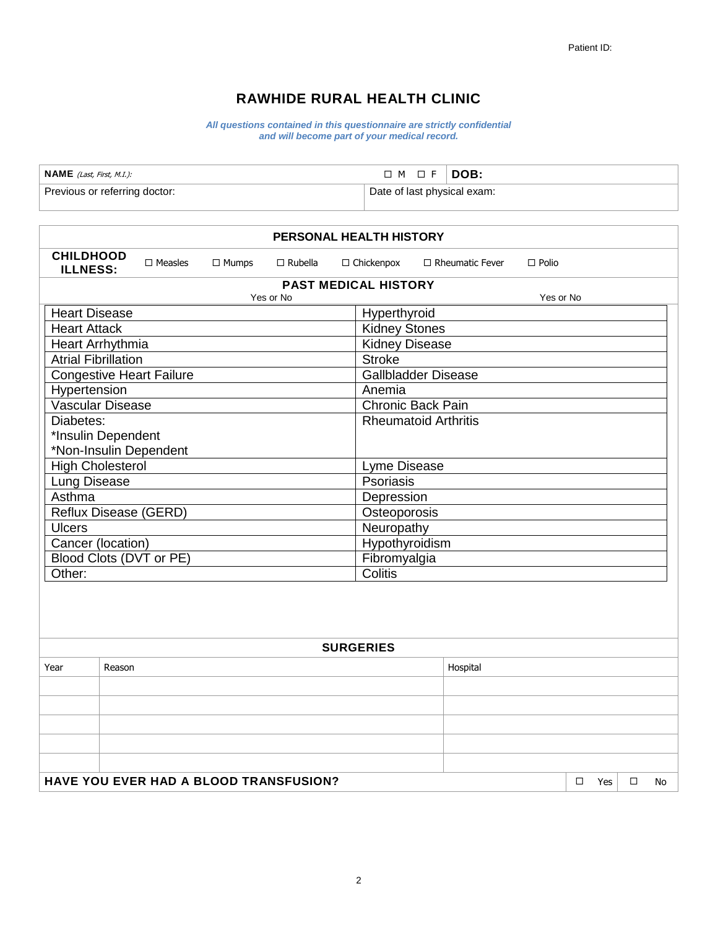## **RAWHIDE RURAL HEALTH CLINIC**

*All questions contained in this questionnaire are strictly confidential and will become part of your medical record.*

| $NAME$ (Last, First, M.I.):   | $\Box$ M $\Box$ F $\Box$ DOB: |  |
|-------------------------------|-------------------------------|--|
| Previous or referring doctor: | Date of last physical exam:   |  |

| PERSONAL HEALTH HISTORY                                 |                             |                                 |              |                |                       |                             |              |  |     |   |    |  |
|---------------------------------------------------------|-----------------------------|---------------------------------|--------------|----------------|-----------------------|-----------------------------|--------------|--|-----|---|----|--|
| <b>CHILDHOOD</b><br><b>ILLNESS:</b>                     |                             | $\Box$ Measles                  | $\Box$ Mumps | $\Box$ Rubella | $\Box$ Chickenpox     | $\Box$ Rheumatic Fever      | $\Box$ Polio |  |     |   |    |  |
|                                                         | <b>PAST MEDICAL HISTORY</b> |                                 |              |                |                       |                             |              |  |     |   |    |  |
|                                                         |                             |                                 |              | Yes or No      |                       |                             | Yes or No    |  |     |   |    |  |
| <b>Heart Disease</b>                                    |                             | Hyperthyroid                    |              |                |                       |                             |              |  |     |   |    |  |
| <b>Heart Attack</b>                                     |                             |                                 |              |                | <b>Kidney Stones</b>  |                             |              |  |     |   |    |  |
| Heart Arrhythmia                                        |                             |                                 |              |                | <b>Kidney Disease</b> |                             |              |  |     |   |    |  |
| <b>Atrial Fibrillation</b>                              |                             |                                 |              |                | <b>Stroke</b>         |                             |              |  |     |   |    |  |
|                                                         |                             | <b>Congestive Heart Failure</b> |              |                |                       | <b>Gallbladder Disease</b>  |              |  |     |   |    |  |
| Hypertension                                            |                             |                                 |              |                | Anemia                | Chronic Back Pain           |              |  |     |   |    |  |
| Vascular Disease<br>Diabetes:                           |                             |                                 |              |                |                       | <b>Rheumatoid Arthritis</b> |              |  |     |   |    |  |
| *Insulin Dependent                                      |                             |                                 |              |                |                       |                             |              |  |     |   |    |  |
|                                                         |                             | *Non-Insulin Dependent          |              |                |                       |                             |              |  |     |   |    |  |
| <b>High Cholesterol</b>                                 |                             |                                 |              |                |                       | Lyme Disease                |              |  |     |   |    |  |
| Lung Disease                                            |                             |                                 |              |                |                       | Psoriasis                   |              |  |     |   |    |  |
| Asthma                                                  |                             |                                 |              |                |                       | Depression                  |              |  |     |   |    |  |
| Reflux Disease (GERD)<br>Osteoporosis                   |                             |                                 |              |                |                       |                             |              |  |     |   |    |  |
| <b>Ulcers</b>                                           | Neuropathy                  |                                 |              |                |                       |                             |              |  |     |   |    |  |
| Cancer (location)                                       |                             |                                 |              |                |                       | Hypothyroidism              |              |  |     |   |    |  |
|                                                         |                             | Blood Clots (DVT or PE)         |              |                |                       | Fibromyalgia                |              |  |     |   |    |  |
| Other:                                                  |                             |                                 |              |                | Colitis               |                             |              |  |     |   |    |  |
|                                                         |                             |                                 |              |                |                       |                             |              |  |     |   |    |  |
|                                                         |                             |                                 |              |                |                       |                             |              |  |     |   |    |  |
|                                                         |                             |                                 |              |                | <b>SURGERIES</b>      |                             |              |  |     |   |    |  |
| Year                                                    | Reason                      |                                 |              |                |                       | Hospital                    |              |  |     |   |    |  |
|                                                         |                             |                                 |              |                |                       |                             |              |  |     |   |    |  |
|                                                         |                             |                                 |              |                |                       |                             |              |  |     |   |    |  |
|                                                         |                             |                                 |              |                |                       |                             |              |  |     |   |    |  |
|                                                         |                             |                                 |              |                |                       |                             |              |  |     |   |    |  |
|                                                         |                             |                                 |              |                |                       |                             |              |  |     |   |    |  |
| <b>HAVE YOU EVER HAD A BLOOD TRANSFUSION?</b><br>$\Box$ |                             |                                 |              |                |                       |                             |              |  | Yes | □ | No |  |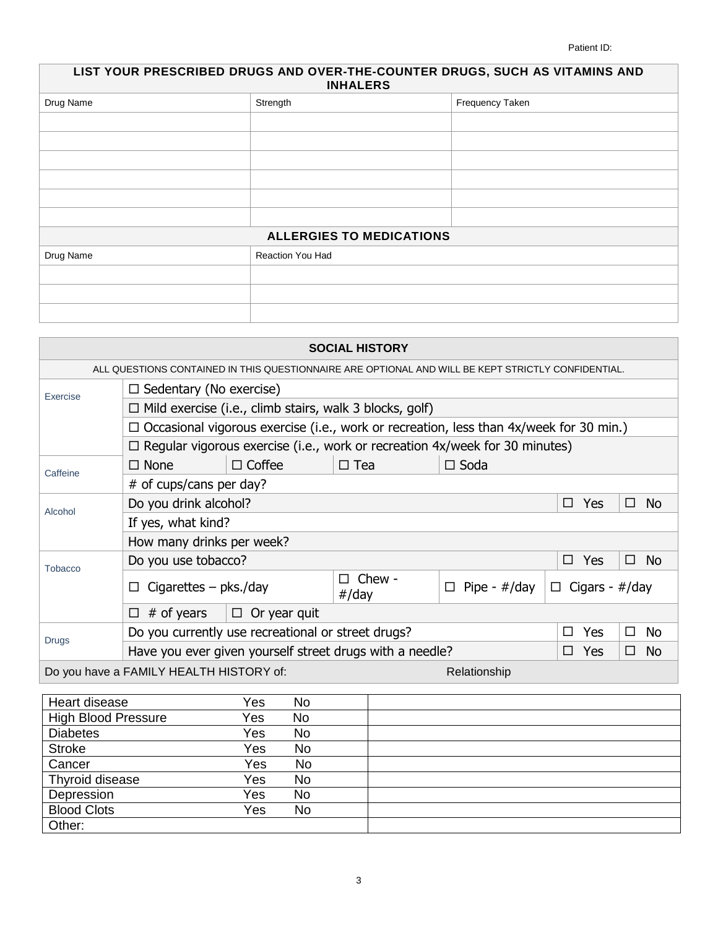Patient ID:

| LIST YOUR PRESCRIBED DRUGS AND OVER-THE-COUNTER DRUGS, SUCH AS VITAMINS AND<br><b>INHALERS</b> |                                 |                 |  |  |  |  |  |
|------------------------------------------------------------------------------------------------|---------------------------------|-----------------|--|--|--|--|--|
| Drug Name                                                                                      | Strength                        | Frequency Taken |  |  |  |  |  |
|                                                                                                |                                 |                 |  |  |  |  |  |
|                                                                                                |                                 |                 |  |  |  |  |  |
|                                                                                                |                                 |                 |  |  |  |  |  |
|                                                                                                |                                 |                 |  |  |  |  |  |
|                                                                                                |                                 |                 |  |  |  |  |  |
|                                                                                                |                                 |                 |  |  |  |  |  |
|                                                                                                | <b>ALLERGIES TO MEDICATIONS</b> |                 |  |  |  |  |  |
| Drug Name                                                                                      | Reaction You Had                |                 |  |  |  |  |  |
|                                                                                                |                                 |                 |  |  |  |  |  |
|                                                                                                |                                 |                 |  |  |  |  |  |
|                                                                                                |                                 |                 |  |  |  |  |  |

| <b>SOCIAL HISTORY</b>                                   |                                                                                                    |                                                                |                      |                                                                                    |                |  |  |  |  |  |
|---------------------------------------------------------|----------------------------------------------------------------------------------------------------|----------------------------------------------------------------|----------------------|------------------------------------------------------------------------------------|----------------|--|--|--|--|--|
|                                                         | ALL QUESTIONS CONTAINED IN THIS QUESTIONNAIRE ARE OPTIONAL AND WILL BE KEPT STRICTLY CONFIDENTIAL. |                                                                |                      |                                                                                    |                |  |  |  |  |  |
| Exercise                                                |                                                                                                    | $\Box$ Sedentary (No exercise)                                 |                      |                                                                                    |                |  |  |  |  |  |
|                                                         |                                                                                                    | $\Box$ Mild exercise (i.e., climb stairs, walk 3 blocks, golf) |                      |                                                                                    |                |  |  |  |  |  |
|                                                         | $\Box$ Occasional vigorous exercise (i.e., work or recreation, less than 4x/week for 30 min.)      |                                                                |                      |                                                                                    |                |  |  |  |  |  |
|                                                         |                                                                                                    |                                                                |                      | $\Box$ Regular vigorous exercise (i.e., work or recreation 4x/week for 30 minutes) |                |  |  |  |  |  |
| Caffeine                                                | $\Box$ None                                                                                        | $\Box$ Coffee                                                  | $\Box$ Tea           | $\Box$ Soda                                                                        |                |  |  |  |  |  |
|                                                         | $#$ of cups/cans per day?                                                                          |                                                                |                      |                                                                                    |                |  |  |  |  |  |
| Alcohol                                                 | Do you drink alcohol?                                                                              |                                                                | $\Box$<br>Yes        | No.<br>□                                                                           |                |  |  |  |  |  |
|                                                         | If yes, what kind?                                                                                 |                                                                |                      |                                                                                    |                |  |  |  |  |  |
|                                                         | How many drinks per week?                                                                          |                                                                |                      |                                                                                    |                |  |  |  |  |  |
| Tobacco                                                 | Do you use tobacco?                                                                                |                                                                |                      | Yes<br>$\Box$                                                                      | □<br>- No      |  |  |  |  |  |
|                                                         | Cigarettes $-$ pks./day<br>$\Box$                                                                  |                                                                | $\Box$ Pipe - #/day  | $\Box$ Cigars - #/day                                                              |                |  |  |  |  |  |
|                                                         | # of years<br>□                                                                                    |                                                                |                      |                                                                                    |                |  |  |  |  |  |
| <b>Drugs</b>                                            | Do you currently use recreational or street drugs?                                                 |                                                                | <b>Yes</b><br>$\Box$ | No.<br>$\Box$                                                                      |                |  |  |  |  |  |
|                                                         |                                                                                                    | Have you ever given yourself street drugs with a needle?       |                      | Yes<br>$\Box$                                                                      | <b>No</b><br>п |  |  |  |  |  |
| Do you have a FAMILY HEALTH HISTORY of:<br>Relationship |                                                                                                    |                                                                |                      |                                                                                    |                |  |  |  |  |  |

| Heart disease              | Yes | No |  |
|----------------------------|-----|----|--|
| <b>High Blood Pressure</b> | Yes | No |  |
| <b>Diabetes</b>            | Yes | No |  |
| <b>Stroke</b>              | Yes | No |  |
| Cancer                     | Yes | No |  |
| Thyroid disease            | Yes | No |  |
| Depression                 | Yes | No |  |
| <b>Blood Clots</b>         | Yes | No |  |
| Other:                     |     |    |  |